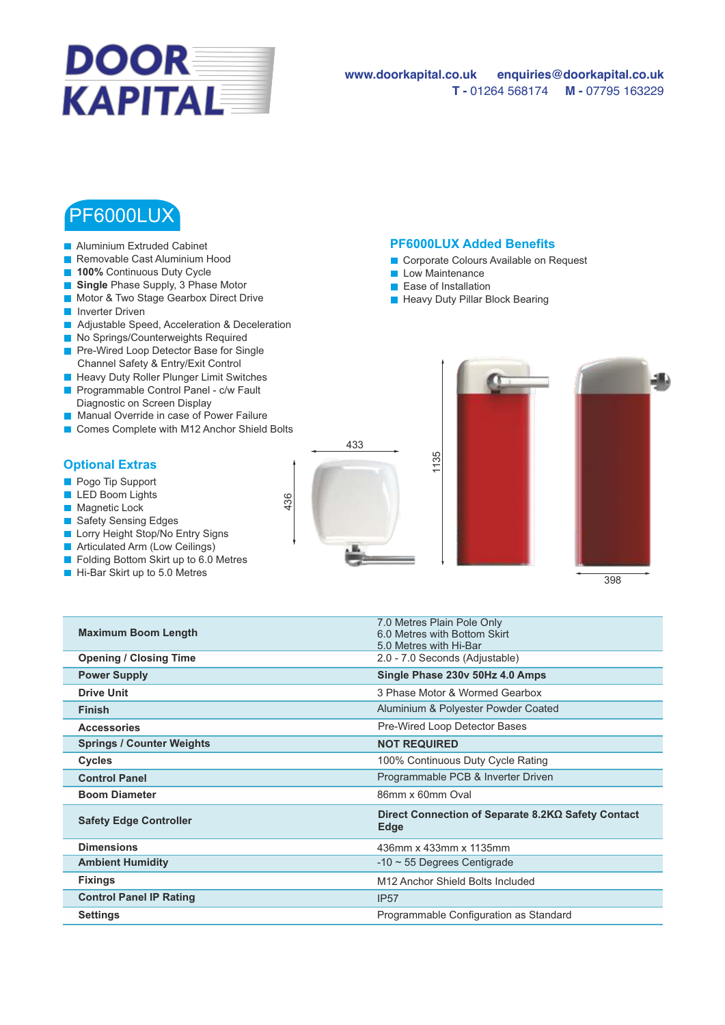

## **www.doorkapital.co.uk enquiries@doorkapital.co.uk T -** 01264 568174 **M -** 07795 163229

## PF6000LUX

- Aluminium Extruded Cabinet
- Removable Cast Aluminium Hood
- **100%** Continuous Duty Cycle
- **Single** Phase Supply, 3 Phase Motor
- **Motor & Two Stage Gearbox Direct Drive**
- **Inverter Driven**
- **Adjustable Speed, Acceleration & Deceleration**
- No Springs/Counterweights Required
- Pre-Wired Loop Detector Base for Single Channel Safety & Entry/Exit Control
- **Heavy Duty Roller Plunger Limit Switches Programmable Control Panel - c/w Fault**
- Diagnostic on Screen Display
- Manual Override in case of Power Failure
- Comes Complete with M12 Anchor Shield Bolts

## **Optional Extras**

- **Pogo Tip Support**
- **LED Boom Lights**
- **Magnetic Lock**
- Safety Sensing Edges
- **Lorry Height Stop/No Entry Signs**
- **Articulated Arm (Low Ceilings)**
- Folding Bottom Skirt up to 6.0 Metres
- Hi-Bar Skirt up to 5.0 Metres



O&M Manual Drawing Video available on website

## **PF6000LUX Added Benefits**

- Corporate Colours Available on Request
- **Low Maintenance**
- **Ease of Installation**

1135

7.0 Metres Plain Pole Only

**Heavy Duty Pillar Block Bearing** 



| <b>Maximum Boom Length</b>       | <b>U.U IVICUES FIGILI FUIT UIIIV</b><br>6.0 Metres with Bottom Skirt<br>5.0 Metres with Hi-Bar |
|----------------------------------|------------------------------------------------------------------------------------------------|
| <b>Opening / Closing Time</b>    | 2.0 - 7.0 Seconds (Adjustable)                                                                 |
| <b>Power Supply</b>              | Single Phase 230v 50Hz 4.0 Amps                                                                |
| <b>Drive Unit</b>                | 3 Phase Motor & Wormed Gearbox                                                                 |
| <b>Finish</b>                    | Aluminium & Polyester Powder Coated                                                            |
| <b>Accessories</b>               | Pre-Wired Loop Detector Bases                                                                  |
| <b>Springs / Counter Weights</b> | <b>NOT REQUIRED</b>                                                                            |
| <b>Cycles</b>                    | 100% Continuous Duty Cycle Rating                                                              |
| <b>Control Panel</b>             | Programmable PCB & Inverter Driven                                                             |
| <b>Boom Diameter</b>             | 86mm x 60mm Oval                                                                               |
| <b>Safety Edge Controller</b>    | Direct Connection of Separate 8.2KΩ Safety Contact<br>Edge                                     |
| <b>Dimensions</b>                | 436mm x 433mm x 1135mm                                                                         |
| <b>Ambient Humidity</b>          | $-10 \sim 55$ Degrees Centigrade                                                               |
| <b>Fixings</b>                   | M12 Anchor Shield Bolts Included                                                               |
| <b>Control Panel IP Rating</b>   | <b>IP57</b>                                                                                    |
| <b>Settings</b>                  | Programmable Configuration as Standard                                                         |